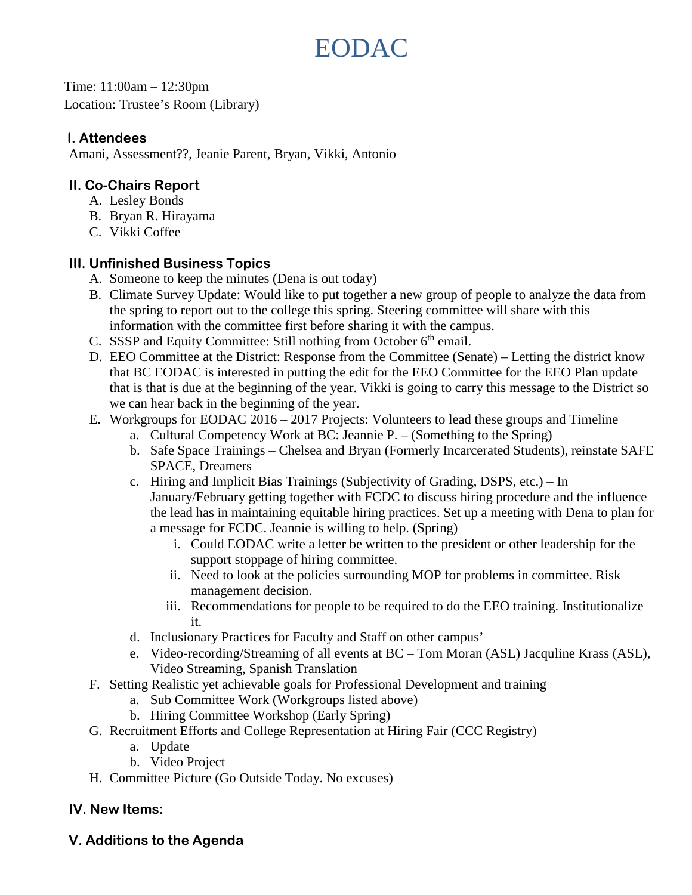# EODAC

Time: 11:00am – 12:30pm Location: Trustee's Room (Library)

### **I. Attendees**

Amani, Assessment??, Jeanie Parent, Bryan, Vikki, Antonio

## **II. Co-Chairs Report**

- A. Lesley Bonds
- B. Bryan R. Hirayama
- C. Vikki Coffee

## **III. Unfinished Business Topics**

- A. Someone to keep the minutes (Dena is out today)
- B. Climate Survey Update: Would like to put together a new group of people to analyze the data from the spring to report out to the college this spring. Steering committee will share with this information with the committee first before sharing it with the campus.
- C. SSSP and Equity Committee: Still nothing from October  $6<sup>th</sup>$  email.
- D. EEO Committee at the District: Response from the Committee (Senate) Letting the district know that BC EODAC is interested in putting the edit for the EEO Committee for the EEO Plan update that is that is due at the beginning of the year. Vikki is going to carry this message to the District so we can hear back in the beginning of the year.
- E. Workgroups for EODAC 2016 2017 Projects: Volunteers to lead these groups and Timeline
	- a. Cultural Competency Work at BC: Jeannie P. (Something to the Spring)
	- b. Safe Space Trainings Chelsea and Bryan (Formerly Incarcerated Students), reinstate SAFE SPACE, Dreamers
	- c. Hiring and Implicit Bias Trainings (Subjectivity of Grading, DSPS, etc.) In January/February getting together with FCDC to discuss hiring procedure and the influence the lead has in maintaining equitable hiring practices. Set up a meeting with Dena to plan for a message for FCDC. Jeannie is willing to help. (Spring)
		- i. Could EODAC write a letter be written to the president or other leadership for the support stoppage of hiring committee.
		- ii. Need to look at the policies surrounding MOP for problems in committee. Risk management decision.
		- iii. Recommendations for people to be required to do the EEO training. Institutionalize it.
	- d. Inclusionary Practices for Faculty and Staff on other campus'
	- e. Video-recording/Streaming of all events at BC Tom Moran (ASL) Jacquline Krass (ASL), Video Streaming, Spanish Translation
- F. Setting Realistic yet achievable goals for Professional Development and training
	- a. Sub Committee Work (Workgroups listed above)
	- b. Hiring Committee Workshop (Early Spring)
- G. Recruitment Efforts and College Representation at Hiring Fair (CCC Registry)
	- a. Update
	- b. Video Project
- H. Committee Picture (Go Outside Today. No excuses)

## **IV. New Items:**

## **V. Additions to the Agenda**